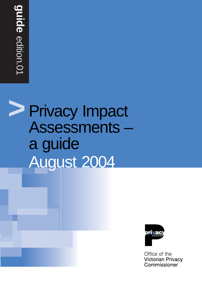# **>** Privacy Impact **Assessments** a guide August 2004



Office of the **Victorian Privacy** Commissioner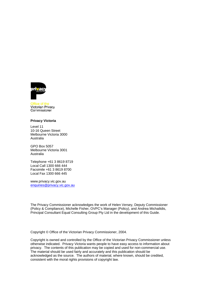

**Victorian Privacy** Commissioner

#### **Privacy Victoria**

Level 11 10-16 Queen Street Melbourne Victoria 3000 Australia

GPO Box 5057 Melbourne Victoria 3001 Australia

Telephone +61 3 8619 8719 Local Call 1300 666 444 Facsimile +61 3 8619 8700 Local Fax 1300 666 445

www.privacy.vic.gov.au enquiries@privacy.vic.gov.au

The Privacy Commissioner acknowledges the work of Helen Versey, Deputy Commissioner (Policy & Compliance), Michelle Fisher, OVPC's Manager (Policy), and Andrea Michailidis, Principal Consultant Equal Consulting Group Pty Ltd in the development of this Guide.

Copyright © Office of the Victorian Privacy Commissioner, 2004.

Copyright is owned and controlled by the Office of the Victorian Privacy Commissioner unless otherwise indicated. Privacy Victoria wants people to have easy access to information about privacy. The contents of this publication may be copied and used for non-commercial use. The material should be used fairly and accurately and this publication should be acknowledged as the source. The authors of material, where known, should be credited, consistent with the moral rights provisions of copyright law.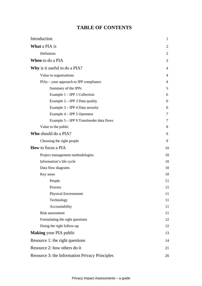# **TABLE OF CONTENTS**

| Introduction<br>$\mathbf{1}$                   |                |
|------------------------------------------------|----------------|
| <b>What a PIA is</b>                           | 2              |
| Definition                                     | 2              |
| <b>When</b> to do a PIA                        | 3              |
| <b>Why</b> is it useful to do a PIA?           | $\overline{4}$ |
| Value to organisations                         | $\overline{4}$ |
| PIAs – your approach to IPP compliance         | 4              |
| Summary of the IPPs                            | 5              |
| Example $1 - IPP$ 1 Collection                 | 6              |
| Example $2 - IPP$ 3 Data quality               | 6              |
| Example $3 - IPP$ 4 Data security              | 6              |
| Example $4 - IPP$ 5 Openness                   | 7              |
| Example 5 – IPP 9 Transborder data flows       | 7              |
| Value to the public                            | 8              |
| Who should do a PIA?                           | 9              |
| Choosing the right people                      | 9              |
| <b>How</b> to focus a PIA                      | 10             |
| Project management methodologies               | 10             |
| Information's life cycle                       | 10             |
| Data flow diagrams                             | 10             |
| Key areas                                      | 10             |
| People                                         | 11             |
| <b>Process</b>                                 | 11             |
| Physical Environment                           | 11             |
| Technology                                     | 11             |
| Accountability                                 | 11             |
| Risk assessment                                | 11             |
| Formulating the right questions                | 12             |
| Doing the right follow-up                      | 12             |
| <b>Making</b> your PIA public                  | 13             |
| Resource 1: the right questions                | 14             |
| Resource 2: how others do it                   | 21             |
| Resource 3: the Information Privacy Principles | 26             |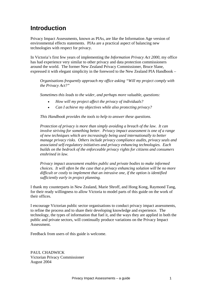# **Introduction**

Privacy Impact Assessments, known as PIAs, are like the Information Age version of environmental effects statements. PIAs are a practical aspect of balancing new technologies with respect for privacy.

In Victoria's first few years of implementing the *Information Privacy Act 2000*, my office has had experience very similar to other privacy and data protection commissioners around the world. The former New Zealand Privacy Commissioner, Bruce Slane, expressed it with elegant simplicity in the foreword to the New Zealand PIA Handbook –

*Organisations frequently approach my office asking "Will my project comply with the Privacy Act?"* 

*Sometimes this leads to the wider, and perhaps more valuable, questions:* 

- *How will my project affect the privacy of individuals?*
- *Can I achieve my objectives while also protecting privacy?*

*This Handbook provides the tools to help to answer these questions.* 

*Protection of privacy is more than simply avoiding a breach of the law. It can involve striving for something better. Privacy impact assessment is one of a range of new techniques which are increasingly being used internationally to better manage privacy risks. Others include privacy compliance audits, privacy seals and associated self-regulatory initiatives and privacy enhancing technologies. Each builds on the bedrock of the enforceable privacy rights for citizens and consumers enshrined in law.* 

*Privacy impact assessment enables public and private bodies to make informed choices. It will often be the case that a privacy enhancing solution will be no more difficult or costly to implement that an intrusive one, if the option is identified sufficiently early in project planning.* 

I thank my counterparts in New Zealand, Marie Shroff, and Hong Kong, Raymond Tang, for their ready willingness to allow Victoria to model parts of this guide on the work of their offices.

I encourage Victorian public sector organisations to conduct privacy impact assessments, to refine the process and to share their developing knowledge and experience. The technology, the types of information that fuel it, and the ways they are applied in both the public and private sectors, will continually produce variations on the Privacy Impact Assessment.

Feedback from users of this guide is welcome.

PAUL CHADWICK Victorian Privacy Commissioner August 2004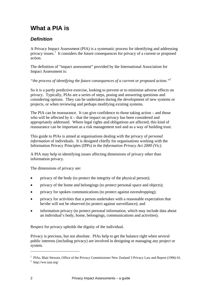# **What a PIA is**

# *Definition*

A Privacy Impact Assessment (PIA) is a systematic process for identifying and addressing privacy issues.<sup>1</sup> It considers the future consequences for privacy of a current or proposed action.

The definition of "impact assessment" provided by the International Association for Impact Assessment is:

*"the process of identifying the future consequences of a current or proposed action."2*

So it is a partly predictive exercise, looking to prevent or to minimise adverse effects on privacy. Typically, PIAs are a series of steps, posing and answering questions and considering options. They can be undertaken during the development of new systems or projects, or when reviewing and perhaps modifying existing systems.

The PIA can be reassurance. It can give confidence to those taking action – and those who will be affected by it – that the impact on privacy has been considered and appropriately addressed. Where legal rights and obligations are affected, this kind of reassurance can be important as a risk management tool and as a way of building trust.

This guide to PIAs is aimed at organisations dealing with the privacy of *personal information* of individuals. It is designed chiefly for organisations working with the Information Privacy Principles (IPPs) in the *Information Privacy Act 2000 (Vic)*.

A PIA may help in identifying issues affecting dimensions of privacy other than information privacy.

The dimensions of privacy are:

- privacy of the body (to protect the integrity of the physical person);
- privacy of the home and belongings (to protect personal space and objects);
- privacy for spoken communications (to protect against eavesdropping);
- privacy for activities that a person undertakes with a reasonable expectation that he/she will not be observed (to protect against surveillance); and
- information privacy (to protect personal information, which may include data about an individual's body, home, belongings, communications and activities).

Respect for privacy upholds the dignity of the individual.

Privacy is precious, but not absolute. PIAs help to get the balance right when several public interests (including privacy) are involved in designing or managing any project or system.

 $\overline{a}$ 

<sup>&</sup>lt;sup>1</sup> PIAs, Blair Stewart, Office of the Privacy Commissioner New Zealand 3 Privacy Law and Report (1996) 61.<br><sup>2</sup> http://www.joja.org/

http://ww.iaia.org/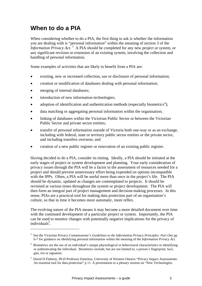# **When to do a PIA**

When considering whether to do a PIA, the first thing to ask is whether the information you are dealing with is "personal information" within the meaning of section 3 of the *Information Privacy Act.*<sup>3</sup> A PIA should be completed for any new project or system, or any significant revision or extension of an existing system, involving the collection and handling of personal information.

Some examples of activities that are likely to benefit from a PIA are:

- existing, new or increased collection, use or disclosure of personal information;
- creation or modification of databases dealing with personal information;
- merging of internal databases;

 $\overline{a}$ 

- introduction of new information technologies;
- adoption of identification and authentication methods (especially biometrics<sup>4</sup>);
- data matching or aggregating personal information within the organisation;
- linking of databases within the Victorian Public Sector or between the Victorian Public Sector and private sector entities;
- transfer of personal information outside of Victoria both one-way or as an exchange, including with federal, state or territory public sector entities or the private sector, and including transfers overseas; and
- creation of a new public register or renovation of an existing public register.

Having decided to do a PIA, consider its timing. Ideally, a PIA should be initiated at the early stages of project or system development and planning. Your early consideration of privacy issues through the PIA will be a factor in the assessment of resources needed for a project and should prevent unnecessary effort being expended on options incompatible with the IPPs. Often, a PIA will be useful more than once in the project's life. The PIA should be dynamic, updated as changes are contemplated to projects. It should be revisited at various times throughout the system or project development. The PIA will then form an integral part of project management and decision-making processes. In this sense, PIAs are a practical tool for making data protection part of an organisation's culture, so that in time it becomes more automatic, more reflex.

The evolving nature of the PIA means it may become a more detailed document over time with the continued development of a particular project or system. Importantly, the PIA can be used to monitor changes with potentially negative implications for the privacy of individuals<sup>5</sup>.

<sup>3</sup> See the Victorian Privacy Commissioner's *Guidelines to the Information Privacy Principles: Part One* pp 6-7 for guidance on identifying personal information within the meaning of the *Information Privacy Act.*

<sup>&</sup>lt;sup>4</sup> Biometrics are the use of an individual's unique physiological or behavioural characteristics in identifying or authenticating the individual. Biometrics include, but are not limited to, a person's fingerprint, face, gait, iris or signature.

<sup>5</sup> David H Flaherty, Ph.D Professor Emeritus, University of Western Ontario "Privacy Impact Assessments: An essential tool for data protection" p 11. A presentation to a plenary session on "New Technologies,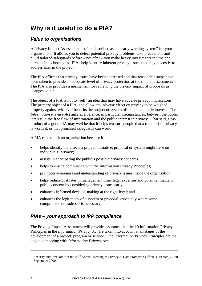# **Why is it useful to do a PIA?**

# *Value to organisations*

A Privacy Impact Assessment is often described as an "early warning system" for your organisation. It allows you to detect potential privacy problems, take precautions and build tailored safeguards before – not after – you make heavy investments in time and perhaps in technologies. PIAs help identify inherent privacy issues that may be costly to address later in the project.

The PIA affirms that privacy issues have been addressed and that reasonable steps have been taken to provide an adequate level of privacy protection at the time of assessment. The PIA also provides a mechanism for reviewing the privacy impact of proposals as changes occur.

The object of a PIA is not to "sell" an idea that may have adverse privacy implications. The primary object of a PIA is to allow any adverse effect on privacy to be weighed properly against whatever benefits the project or system offers in the public interest. The *Information Privacy Act* aims at a balance, in particular circumstances, between the public interest in the free flow of information and the public interest in privacy. That said, a byproduct of a good PIA may well be that it helps reassure people that a trade-off of privacy is worth it, or that promised safeguards can work.

A PIA can benefit an organisation because it:

- helps identify the effects a project, initiative, proposal or system might have on individuals' privacy;
- assists in anticipating the public's possible privacy concerns:
- helps to ensure compliance with the Information Privacy Principles;
- promotes awareness and understanding of privacy issues inside the organisation;
- helps reduce cost later in management time, legal expenses and potential media or public concern by considering privacy issues early;
- enhances informed decision-making at the right level; and
- enhances the legitimacy of a system or proposal, especially where some compromise or trade-off is necessary.

# *PIAs – your approach to IPP compliance*

The Privacy Impact Assessment will provide assurance that the 10 Information Privacy Principles in the *Information Privacy Act* are taken into account at all stages of the development of a project, program or service. The Information Privacy Principles are the key to complying with *Information Privacy Act*.

 $\overline{a}$ 

Security and Freedom," at the  $22^{nd}$  Annual Meeting of Privacy & Data Protection Officials, Venice, 27-30 September 2000.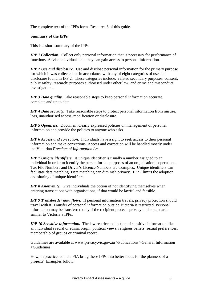The complete text of the IPPs forms Resource 3 of this guide.

#### **Summary of the IPPs**

This is a short summary of the IPPs:

*IPP 1 Collection.* Collect only personal information that is necessary for performance of functions. Advise individuals that they can gain access to personal information.

*IPP 2 Use and disclosure.* Use and disclose personal information for the primary purpose for which it was collected, or in accordance with any of eight categories of use and disclosure found in IPP 2. These categories include: related secondary purposes; consent; public safety; research; purposes authorised under other law; and crime and misconduct investigations.

*IPP 3 Data quality*. Take reasonable steps to keep personal information accurate, complete and up to date.

*IPP 4 Data security.* Take reasonable steps to protect personal information from misuse, loss, unauthorised access, modification or disclosure.

*IPP 5 Openness.* Document clearly expressed policies on management of personal information and provide the policies to anyone who asks.

*IPP 6 Access and correction.* Individuals have a right to seek access to their personal information and make corrections. Access and correction will be handled mostly under the Victorian *Freedom of Information Act*.

*IPP 7 Unique identifiers.* A unique identifier is usually a number assigned to an individual in order to identify the person for the purposes of an organisation's operations. Tax File Numbers and Driver's Licence Numbers are examples. Unique identifiers can facilitate data matching. Data matching can diminish privacy. IPP 7 limits the adoption and sharing of unique identifiers.

*IPP 8 Anonymity.* Give individuals the option of not identifying themselves when entering transactions with organisations, if that would be lawful and feasible.

*IPP 9 Transborder data flows.* If personal information travels, privacy protection should travel with it. Transfer of personal information outside Victoria is restricted. Personal information may be transferred only if the recipient protects privacy under standards similar to Victoria's IPPs.

*IPP 10 Sensitive information.* The law restricts collection of sensitive information like an individual's racial or ethnic origin, political views, religious beliefs, sexual preferences, membership of groups or criminal record.

Guidelines are available at www.privacy.vic.gov.au >Publications >General Information >Guidelines.

How, in practice, could a PIA bring these IPPs into better focus for the planners of a project? Examples follow.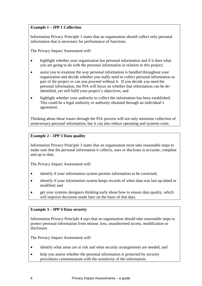## **Example 1 – IPP 1 Collection**

Information Privacy Principle 1 states that an organisation should collect only personal information that is necessary for performance of functions.

The Privacy Impact Assessment will:

- highlight whether your organisation has personal information and if it does what you are going to do with the personal information in relation to this project;
- assist you to examine the way personal information is handled throughout your organisation and decide whether you really need to collect personal information as part of the project or can you proceed without it. If you decide you need the personal information, the PIA will focus on whether that information can be deidentified, yet still fulfil your project's objectives; and
- highlight whether your authority to collect the information has been established. This could be a legal authority or authority obtained through an individual's agreement.

Thinking about these issues through the PIA process will not only minimise collection of unnecessary personal information, but it can also reduce operating and systems costs.

## **Example 2 – IPP 3 Data quality**

Information Privacy Principle 3 states that an organisation must take reasonable steps to make sure that the personal information it collects, uses or discloses is accurate, complete and up to date.

The Privacy Impact Assessment will:

- identify if your information system permits information to be corrected;
- identify if your information system keeps records of when data was last up-dated or modified; and
- get your systems designers thinking early about how to ensure data quality, which will improve decisions made later on the basis of that data.

### **Example 3 – IPP 4 Data security**

Information Privacy Principle 4 says that an organisation should take reasonable steps to protect personal information from misuse, loss, unauthorised access, modification or disclosure.

The Privacy Impact Assessment will:

- identify what areas are at risk and what security arrangements are needed; and
- help you assess whether the personal information is protected by security procedures commensurate with the sensitivity of the information.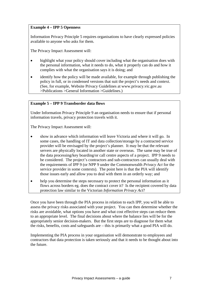### **Example 4 – IPP 5 Openness**

Information Privacy Principle 5 requires organisations to have clearly expressed policies available to anyone who asks for them.

The Privacy Impact Assessment will:

- highlight what your policy should cover including what the organisation does with the personal information, what it needs to do, what it properly can do and how it complies with what the organisation says it is doing; and
- identify how the policy will be made available, for example through publishing the policy in full, or in condensed versions that suit the project's needs and context. (See, for example, Website Privacy Guidelines at www.privacy.vic.gov.au >Publications >General Information >Guidelines.)

#### **Example 5 – IPP 9 Transborder data flows**

Under Information Privacy Principle 9 an organisation needs to ensure that if personal information travels, privacy protection travels with it.

The Privacy Impact Assessment will:

- show in advance which information will leave Victoria and where it will go. In some cases, the handling of IT and data collection/storage by a contracted service provider will be envisaged by the project's planner. It may be that the relevant servers are physically located in another state or overseas. The same may be true of the data processing/key boarding/or call centre aspects of a project. IPP 9 needs to be considered. The project's contractors and sub-contractors can usually deal with the requirements of IPP 9 (or NPP 9 under the Commonwealth *Privacy Act* for the service provider in some contexts). The point here is that the PIA will identify those issues early and allow you to deal with them in an orderly way; and
- help you determine the steps necessary to protect the personal information as it flows across borders eg. does the contract cover it? Is the recipient covered by data protection law similar to the Victorian *Information Privacy Act*?

Once you have been through the PIA process in relation to each IPP, you will be able to assess the privacy risks associated with your project. You can then determine whether the risks are avoidable, what options you have and what cost effective steps can reduce them to an appropriate level. The final decisions about where the balance lies will be for the appropriately senior decision-makers. But the first steps are to diagnose for them what the risks, benefits, costs and safeguards are – this is primarily what a good PIA will do.

Implementing the PIA process in your organisation will demonstrate to employees and contractors that data protection is taken seriously and that it needs to be thought about into the future.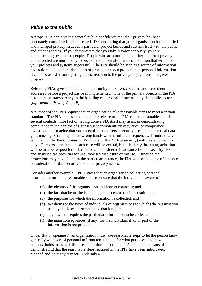# *Value to the public*

A proper PIA can give the general public confidence that their privacy has been adequately considered and addressed. Demonstrating that your organisation has identified and managed privacy issues in a particular project builds and sustains trust with the public and other agencies. If you demonstrate that you take privacy seriously, you are demonstrating respect for people. People who are confident that they and their privacy are respected are more likely to provide the information and co-operation that will make your projects and systems successful. The PIA should be seen as a source of information and action to allay fears about loss of privacy or about protection of personal information. It can also assist in anticipating public reaction to the privacy implications of a given proposal.

Releasing PIAs gives the public an opportunity to express concerns and have them addressed before a project has been implemented. One of the primary objects of the PIA is to increase transparency in the handling of personal information by the public sector (*Information Privacy Act*, s 5).

A number of the IPPs require that an organisation take reasonable steps to meet a certain standard. The PIA process and the public release of the PIA can be reasonable steps in several contexts. The fact of having done a PIA itself may assist in demonstrating compliance in the context of a subsequent complaint, privacy audit or compliance investigation. Imagine that your organisation suffers a security breach and personal data goes missing or turns up in the wrong hands with harmful consequences. If individuals complain under the *Information Privacy Act*, IPP 4 (data security) will likely come into play. Of course, the facts in each case will be central, but it is likely that an organisation will be in a better position if it can show it considered in advance its data security risks and analysed the potential for unauthorised disclosure or misuse. Although the protections may have failed in the particular instance, the PIA will be evidence of advance consideration of data security and other privacy issues.

Consider another example. IPP 1 states that an organisation collecting personal information must take reasonable steps to ensure that the individual is aware of –

- (a) the identity of the organisation and how to contact it; and
- (b) the fact that he or she is able to gain access to the information; and
- (c) the purposes for which the information is collected; and
- (d) to whom (or the types of individuals or organisations to which) the organisation usually discloses information of that kind; and
- (e) any law that requires the particular information to be collected; and
- (f) the main consequences (if any) for the individual if all or part of the information is not provided.

Under IPP 5 (openness), an organisation must take reasonable steps to let the person know generally what sort of personal information it holds, for what purposes, and how it collects, holds, uses and discloses that information. The PIA can be one means of demonstrating that the reasonable steps required in the IPPs have been anticipated, planned and, in many respects, undertaken.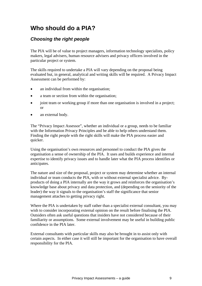# **Who should do a PIA?**

# *Choosing the right people*

The PIA will be of value to project managers, information technology specialists, policy makers, legal advisers, human resource advisers and privacy officers involved in the particular project or system.

The skills required to undertake a PIA will vary depending on the proposal being evaluated but, in general, analytical and writing skills will be required. A Privacy Impact Assessment can be performed by:

- an individual from within the organisation:
- a team or section from within the organisation;
- joint team or working group if more than one organisation is involved in a project; or
- an external body.

The "Privacy Impact Assessor", whether an individual or a group, needs to be familiar with the Information Privacy Principles and be able to help others understand them. Finding the right people with the right skills will make the PIA process easier and quicker.

Using the organisation's own resources and personnel to conduct the PIA gives the organisation a sense of ownership of the PIA. It uses and builds experience and internal expertise to identify privacy issues and to handle later what the PIA process identifies or anticipates.

The nature and size of the proposal, project or system may determine whether an internal individual or team conducts the PIA, with or without external specialist advice. Byproducts of doing a PIA internally are the way it grows and reinforces the organisation's knowledge base about privacy and data protection, and (depending on the seniority of the leader) the way it signals to the organisation's staff the significance that senior management attaches to getting privacy right.

Where the PIA is undertaken by staff rather than a specialist external consultant, you may wish to consider incorporating external opinion on the result before finalising the PIA. Outsiders often ask useful questions that insiders have not considered because of their familiarity or assumptions. Some external involvement may be useful in building public confidence in the PIA later.

External consultants with particular skills may also be brought in to assist only with certain aspects. In either case it will still be important for the organisation to have overall responsibility for the PIA.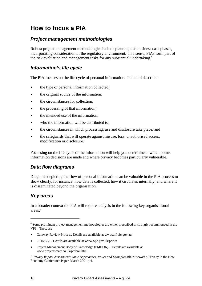# **How to focus a PIA**

# *Project management methodologies*

Robust project management methodologies include planning and business case phases, incorporating consideration of the regulatory environment. In a sense, PIAs form part of the risk evaluation and management tasks for any substantial undertaking.<sup>6</sup>

# *Information's life cycle*

The PIA focuses on the life cycle of personal information. It should describe:

- the type of personal information collected;
- the original source of the information;
- the circumstances for collection;
- the processing of that information;
- the intended use of the information:
- who the information will be distributed to;
- the circumstances in which processing, use and disclosure take place; and
- the safeguards that will operate against misuse, loss, unauthorised access, modification or disclosure.<sup>7</sup>

Focussing on the life cycle of the information will help you determine at which points information decisions are made and where privacy becomes particularly vulnerable.

# *Data flow diagrams*

Diagrams depicting the flow of personal information can be valuable in the PIA process to show clearly, for instance: how data is collected; how it circulates internally; and where it is disseminated beyond the organisation.

# *Key areas*

In a broader context the PIA will require analysis in the following key organisational areas: 8

- Gateway Review Process. Details are available at www.dtf.vic.gov.au
- PRINCE2 . Details are available at www.ogc.gov.uk/prince
- Project Management Body of Knowledge (PMBOK). . Details are available at www.projectsmart.co.uk/pmbok.html

 $\overline{a}$ 

<sup>&</sup>lt;sup>6</sup> Some prominent project management methodologies are either prescribed or strongly recommended in the VPS. These are:

<sup>7</sup> *Privacy Impact Assessment: Some Approaches, Issues and Examples* Blair Stewart e-Privacy in the New Economy Conference Paper, March 2001 p 4.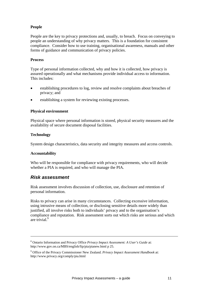## **People**

People are the key to privacy protections and, usually, to breach. Focus on conveying to people an understanding of why privacy matters. This is a foundation for consistent compliance. Consider how to use training, organisational awareness, manuals and other forms of guidance and communication of privacy policies.

#### **Process**

Type of personal information collected, why and how it is collected, how privacy is assured operationally and what mechanisms provide individual access to information. This includes:

- establishing procedures to log, review and resolve complaints about breaches of privacy; and
- establishing a system for reviewing existing processes.

### **Physical environment**

Physical space where personal information is stored, physical security measures and the availability of secure document disposal facilities.

#### **Technology**

System design characteristics, data security and integrity measures and access controls.

### **Accountability**

 $\overline{a}$ 

Who will be responsible for compliance with privacy requirements, who will decide whether a PIA is required, and who will manage the PIA.

## *Risk assessment*

Risk assessment involves discussion of collection, use, disclosure and retention of personal information.

Risks to privacy can arise in many circumstances. Collecting excessive information, using intrusive means of collection, or disclosing sensitive details more widely than justified, all involve risks both to individuals' privacy and to the organisation's compliance and reputation. Risk assessment sorts out which risks are serious and which are trivial<sup>9</sup>

<sup>8</sup> Ontario Information and Privacy Office *Privacy Impact Assessment: A User's Guide* at: http://www.gov.on.ca/MBS/english/fip/pia/pianew.html p 25.

<sup>9</sup> Office of the Privacy Commissioner New Zealand. *Privacy Impact Assessment Handbook* at: http://www.privacy.org/comply/pia.html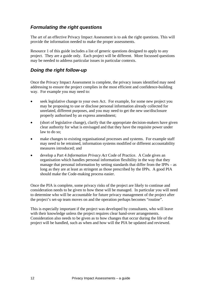# *Formulating the right questions*

The art of an effective Privacy Impact Assessment is to ask the right questions. This will provide the information needed to make the proper assessments.

Resource 1 of this guide includes a list of generic questions designed to apply to any project. They are a guide only. Each project will be different. More focussed questions may be needed to address particular issues in particular contexts.

# *Doing the right follow-up*

Once the Privacy Impact Assessment is complete, the privacy issues identified may need addressing to ensure the project complies in the most efficient and confidence-building way. For example you may need to:

- seek legislative change to your own Act. For example, for some new project you may be proposing to use or disclose personal information already collected for unrelated, different purposes, and you may need to get the new use/disclosure properly authorised by an express amendment;
- (short of legislative change), clarify that the appropriate decision-makers have given clear authority for what is envisaged and that they have the requisite power under law to do so;
- make changes to existing organisational processes and systems. For example staff may need to be retrained, information systems modified or different accountability measures introduced; and
- develop a Part 4 *Information Privacy Act* Code of Practice. A Code gives an organisation which handles personal information flexibility in the way that they manage that personal information by setting standards that differ from the IPPs – as long as they are at least as stringent as those prescribed by the IPPs. A good PIA should make the Code-making process easier.

Once the PIA is complete, some privacy risks of the project are likely to continue and consideration needs to be given to how these will be managed. In particular you will need to determine who will be accountable for future privacy management of the project after the project's set-up team moves on and the operation perhaps becomes "routine".

This is especially important if the project was developed by consultants, who will leave with their knowledge unless the project requires clear hand-over arrangements. Consideration also needs to be given as to how changes that occur during the life of the project will be handled, such as when and how will the PIA be updated and reviewed.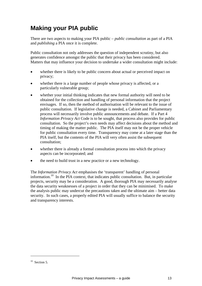# **Making your PIA public**

There are two aspects to making your PIA public – *public consultation* as part of a PIA and *publishing* a PIA once it is complete.

Public consultation not only addresses the question of independent scrutiny, but also generates confidence amongst the public that their privacy has been considered. Matters that may influence your decision to undertake a wider consultation might include:

- whether there is likely to be public concern about actual or perceived impact on privacy;
- whether there is a large number of people whose privacy is affected, or a particularly vulnerable group;
- whether your initial thinking indicates that new formal authority will need to be obtained for the collection and handling of personal information that the project envisages. If so, then the method of authorisation will be relevant to the issue of public consultation. If legislative change is needed, a Cabinet and Parliamentary process will necessarily involve public announcements and debate. If a Part 4 *Information Privacy Act* Code is to be sought, that process also provides for public consultation. So the project's own needs may affect decisions about the method and timing of making the matter public. The PIA itself may not be the proper vehicle for public consultation every time. Transparency may come at a later stage than the PIA itself, but the contents of the PIA will very often assist the subsequent consultation;
- whether there is already a formal consultation process into which the privacy aspects can be incorporated; and
- the need to build trust in a new practice or a new technology.

The *Information Privacy Act* emphasises the 'transparent' handling of personal information.10 In the PIA context, that indicates public consultation. But, in particular projects, security may be a consideration. A good, thorough PIA may necessarily analyse the data security weaknesses of a project in order that they can be minimised. To make the analysis public may undercut the precautions taken and the ultimate aim – better data security. In such cases, a properly edited PIA will usually suffice to balance the security and transparency interests.

 $\overline{a}$ 

 $10$  Section 5.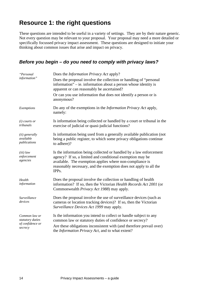# **Resource 1: the right questions**

These questions are intended to be useful in a variety of settings. They are by their nature generic. Not every question may be relevant to your proposal. Your proposal may need a more detailed or specifically focussed privacy impact assessment. These questions are designed to initiate your thinking about common issues that arise and impact on privacy.

# *Before you begin – do you need to comply with privacy laws?*

| "Personal                                                        | Does the <i>Information Privacy Act</i> apply?                                                                                                                                                                                                                                         |
|------------------------------------------------------------------|----------------------------------------------------------------------------------------------------------------------------------------------------------------------------------------------------------------------------------------------------------------------------------------|
| information"                                                     | Does the proposal involve the collection or handling of "personal"<br>information" $-$ ie. information about a person whose identity is<br>apparent or can reasonably be ascertained?                                                                                                  |
|                                                                  | Or can you use information that does not identify a person or is<br>anonymous?                                                                                                                                                                                                         |
| Exemptions                                                       | Do any of the exemptions in the <i>Information Privacy Act</i> apply,<br>namely:                                                                                                                                                                                                       |
| $(i)$ courts or<br>tribunals                                     | Is information being collected or handled by a court or tribunal in the<br>exercise of judicial or quasi-judicial functions?                                                                                                                                                           |
| (ii) generally<br>available<br>publications                      | Is information being used from a generally available publication (not<br>being a public register, to which some privacy obligations continue<br>to adhere)?                                                                                                                            |
| $(iii)$ law<br>enforcement<br>agencies                           | Is the information being collected or handled by a law enforcement<br>agency? If so, a limited and conditional exemption may be<br>available. The exemption applies where non-compliance is<br>reasonably necessary, and the exemption does not apply to all the<br>IPP <sub>s</sub> . |
| Health<br>information                                            | Does the proposal involve the collection or handling of health<br>information? If so, then the Victorian Health Records Act 2001 (or<br>Commonwealth Privacy Act 1988) may apply.                                                                                                      |
| Surveillance<br>devices                                          | Does the proposal involve the use of surveillance devices (such as<br>cameras or location tracking devices)? If so, then the Victorian<br>Surveillance Devices Act 1999 may apply.                                                                                                     |
| Common law or<br>statutory duties<br>of confidence or<br>secrecy | Is the information you intend to collect or handle subject to any<br>common law or statutory duties of confidence or secrecy?<br>Are these obligations inconsistent with (and therefore prevail over)<br>the <i>Information Privacy Act</i> , and to what extent?                      |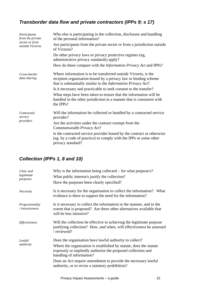# *Transborder data flow and private contractors (IPPs 9; s 17)*

| Participants<br>from the private          | Who else is participating in the collection, disclosure and handling<br>of the personal information?                                                                                                        |
|-------------------------------------------|-------------------------------------------------------------------------------------------------------------------------------------------------------------------------------------------------------------|
| sector or from<br><i>outside Victoria</i> | Are participants from the private sector or from a jurisdiction outside<br>of Victoria?                                                                                                                     |
|                                           | Do other privacy laws or privacy protective regimes (eg,<br>administrative privacy standards) apply?                                                                                                        |
|                                           | How do these compare with the <i>Information Privacy Act</i> and IPPs?                                                                                                                                      |
| Cross-border<br>data sharing              | Where information is to be transferred outside Victoria, is the<br>recipient organisation bound by a privacy law or binding scheme<br>that is substantially similar to the <i>Information Privacy Act</i> ? |
|                                           | Is it necessary and practicable to seek consent to the transfer?                                                                                                                                            |
|                                           | What steps have been taken to ensure that the information will be<br>handled in the other jurisdiction in a manner that is consistent with<br>the IPPs?                                                     |
| Contracted<br>service                     | Will the information be collected or handled by a contracted service<br>provider?                                                                                                                           |
| providers                                 | Are the activities under the contract exempt from the<br>Commonwealth Privacy Act?                                                                                                                          |
|                                           | Is the contracted service provider bound by the contract or otherwise<br>(eg. by a code of practice) to comply with the IPPs or some other<br>privacy standard?                                             |

# *Collection (IPPs 1, 8 and 10)*

| Clear and<br>legitimate<br>purposes  | Why is the information being collected $-$ for what purpose/s?<br>What public interest/s justify the collection?<br>Have the purposes been clearly specified?                                                                                                                                                                                  |
|--------------------------------------|------------------------------------------------------------------------------------------------------------------------------------------------------------------------------------------------------------------------------------------------------------------------------------------------------------------------------------------------|
| Necessity                            | Is it necessary for the organisation to collect the information? What<br>evidence is there to support the need for the information?                                                                                                                                                                                                            |
| Proportionality<br>$/$ intrusiveness | Is it necessary to collect the information in the manner, and to the<br>extent that is proposed? Are there other alternatives available that<br>will be less intrusive?                                                                                                                                                                        |
| Effectiveness                        | Will the collection be effective in achieving the legitimate purpose<br>justifying collection? How, and when, will effectiveness be assessed<br>/ reviewed?                                                                                                                                                                                    |
| Lawful<br>authority                  | Does the organisation have lawful authority to collect?<br>Where the organisation is established by statute, does the statute<br>expressly or impliedly authorise the proposed collection and<br>handling of information?<br>Does an Act require amendment to provide the necessary lawful<br>authority, or to revise a statutory prohibition? |
|                                      |                                                                                                                                                                                                                                                                                                                                                |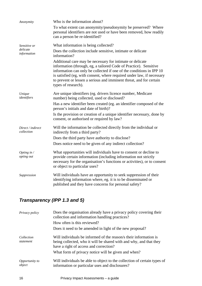| Anonymity                         | Who is the information about?                                                                                                                                                                                                                                                                                                                                                  |
|-----------------------------------|--------------------------------------------------------------------------------------------------------------------------------------------------------------------------------------------------------------------------------------------------------------------------------------------------------------------------------------------------------------------------------|
|                                   | To what extent can anonymity/pseudonymity be preserved? Where<br>personal identifiers are not used or have been removed, how readily<br>can a person be re-identified?                                                                                                                                                                                                         |
| Sensitive or                      | What information is being collected?                                                                                                                                                                                                                                                                                                                                           |
| delicate<br>information           | Does the collection include sensitive, intimate or delicate<br>information?                                                                                                                                                                                                                                                                                                    |
|                                   | Additional care may be necessary for intimate or delicate<br>information (through, eg, a tailored Code of Practice). Sensitive<br>information can only be collected if one of the conditions in IPP 10<br>is satisfied (eg, with consent, where required under law, if necessary<br>to prevent or lessen a serious and imminent threat, and for certain<br>types of research). |
| Unique<br>identifiers             | Are unique identifiers (eg. drivers licence number, Medicare<br>number) being collected, used or disclosed?                                                                                                                                                                                                                                                                    |
|                                   | Has a new identifier been created (eg. an identifier composed of the<br>person's initials and date of birth)?                                                                                                                                                                                                                                                                  |
|                                   | Is the provision or creation of a unique identifier necessary, done by<br>consent, or authorised or required by law?                                                                                                                                                                                                                                                           |
| Direct / indirect<br>collection   | Will the information be collected directly from the individual or<br>indirectly from a third party?                                                                                                                                                                                                                                                                            |
|                                   | Does the third party have authority to disclose?                                                                                                                                                                                                                                                                                                                               |
|                                   | Does notice need to be given of any indirect collection?                                                                                                                                                                                                                                                                                                                       |
| Opting in $\sqrt{}$<br>opting out | What opportunities will individuals have to consent or decline to<br>provide certain information (including information not strictly<br>necessary for the organisation's functions or activities), or to consent<br>or object to particular uses?                                                                                                                              |
| Suppression                       | Will individuals have an opportunity to seek suppression of their<br>identifying information where, eg. it is to be disseminated or<br>published and they have concerns for personal safety?                                                                                                                                                                                   |

# *Transparency (IPP 1.3 and 5)*

| Does the organisation already have a privacy policy covering their<br>collection and information handling practices?                                                              |
|-----------------------------------------------------------------------------------------------------------------------------------------------------------------------------------|
| How often is this reviewed?                                                                                                                                                       |
| Does it need to be amended in light of the new proposal?                                                                                                                          |
| Will individuals be informed of the reason/s their information is<br>being collected, who it will be shared with and why, and that they<br>have a right of access and correction? |
| What form of privacy notice will be given and when?                                                                                                                               |
| Will individuals be able to object to the collection of certain types of<br>information or particular uses and disclosures?                                                       |
|                                                                                                                                                                                   |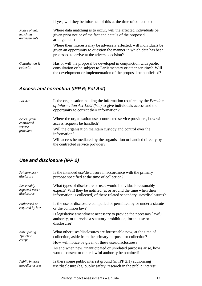|                                            | If yes, will they be informed of this at the time of collection?                                                                                                                                            |
|--------------------------------------------|-------------------------------------------------------------------------------------------------------------------------------------------------------------------------------------------------------------|
| Notice of data<br>matching<br>arrangements | Where data matching is to occur, will the affected individuals be<br>given prior notice of the fact and details of the proposed<br>arrangement?                                                             |
|                                            | Where their interests may be adversely affected, will individuals be<br>given an opportunity to question the manner in which data has been<br>processed to arrive at the adverse decision?                  |
| Consultation &<br>publicity                | Has or will the proposal be developed in conjunction with public<br>consultation or be subject to Parliamentary or other scrutiny? Will<br>the development or implementation of the proposal be publicised? |

# *Access and correction (IPP 6; FoI Act)*

| Fol Act                                           | Is the organisation holding the information required by the Freedom<br>of Information Act 1982 (Vic) to give individuals access and the<br>opportunity to correct their information? |
|---------------------------------------------------|--------------------------------------------------------------------------------------------------------------------------------------------------------------------------------------|
| Access from<br>contracted<br>service<br>providers | Where the organisation uses contracted service providers, how will<br>access requests be handled?                                                                                    |
|                                                   | Will the organisation maintain custody and control over the<br>information?                                                                                                          |
|                                                   | Will access be mediated by the organisation or handled directly by<br>the contracted service provider?                                                                               |

# *Use and disclosure (IPP 2)*

| Primary use /          | Is the intended use/disclosure in accordance with the primary                                                                                        |
|------------------------|------------------------------------------------------------------------------------------------------------------------------------------------------|
| disclosure             | purpose specified at the time of collection?                                                                                                         |
| Reasonably             | What types of disclosure or uses would individuals reasonably                                                                                        |
| expected uses /        | expect? Will they be notified (at or around the time when their                                                                                      |
| disclosures            | information is collected) of these related secondary uses/disclosures?                                                                               |
| Authorised or          | Is the use or disclosure compelled or permitted by or under a statute                                                                                |
| required by law        | or the common law?                                                                                                                                   |
|                        | Is legislative amendment necessary to provide the necessary lawful<br>authority, or to revise a statutory prohibition, for the use or<br>disclosure? |
| Anticipating           | What other uses/disclosures are foreseeable now, at the time of                                                                                      |
| "function              | collection, aside from the primary purpose for collection?                                                                                           |
| creep"                 | How will notice be given of these uses/disclosures?                                                                                                  |
|                        | As and when new, unanticipated or unrelated purposes arise, how<br>would consent or other lawful authority be obtained?                              |
| <b>Public interest</b> | Is there some public interest ground (in IPP 2.1) authorising                                                                                        |
| uses/disclosures       | use/disclosure (eg. public safety, research in the public interest,                                                                                  |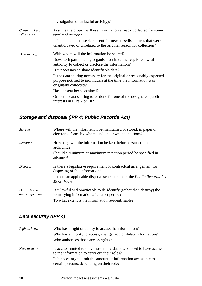|                                 | investigation of unlawful activity)?                                                                                                                              |
|---------------------------------|-------------------------------------------------------------------------------------------------------------------------------------------------------------------|
| Consensual uses<br>/ disclosure | Assume the project will use information already collected for some<br>unrelated purpose.                                                                          |
|                                 | Is it practicable to seek consent for new uses/disclosures that were<br>unanticipated or unrelated to the original reason for collection?                         |
| Data sharing                    | With whom will the information be shared?                                                                                                                         |
|                                 | Does each participating organisation have the requisite lawful<br>authority to collect or disclose the information?                                               |
|                                 | Is it necessary to share identifiable data?                                                                                                                       |
|                                 | Is the data sharing necessary for the original or reasonably expected<br>purpose notified to individuals at the time the information was<br>originally collected? |
|                                 | Has consent been obtained?                                                                                                                                        |
|                                 | Or, is the data sharing to be done for one of the designated public<br>interests in IPPs 2 or 10?                                                                 |

# *Storage and disposal (IPP 4; Public Records Act)*

| <b>Storage</b>                     | Where will the information be maintained or stored, in paper or<br>electronic form, by whom, and under what conditions? |
|------------------------------------|-------------------------------------------------------------------------------------------------------------------------|
| Retention                          | How long will the information be kept before destruction or<br>archiving?                                               |
|                                    | Should a minimum or maximum retention period be specified in<br>advance?                                                |
| Disposal                           | Is there a legislative requirement or contractual arrangement for<br>disposing of the information?                      |
|                                    | Is there an applicable disposal schedule under the <i>Public Records Act</i><br>1973 (Vic)?                             |
| Destruction &<br>de-identification | Is it lawful and practicable to de-identify (rather than destroy) the<br>identifying information after a set period?    |
|                                    | To what extent is the information re-identifiable?                                                                      |

# *Data security (IPP 4)*

| Right to know | Who has a right or ability to access the information?                                                               |
|---------------|---------------------------------------------------------------------------------------------------------------------|
|               | Who has authority to access, change, add or delete information?                                                     |
|               | Who authorises those access rights?                                                                                 |
| Need to know  | Is access limited to only those individuals who need to have access<br>to the information to carry out their roles? |
|               | Is it necessary to limit the amount of information accessible to<br>certain persons, depending on their role?       |
|               |                                                                                                                     |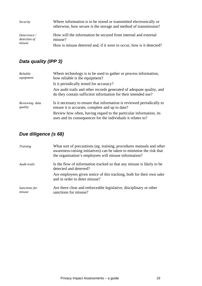| <i>Security</i>                        | Where information is to be stored or transmitted electronically or<br>otherwise, how secure is the storage and method of transmission? |
|----------------------------------------|----------------------------------------------------------------------------------------------------------------------------------------|
| Deterrence /<br>detection of<br>misuse | How will the information be secured from internal and external<br>misuse?                                                              |
|                                        | How is misuse deterred and, if it were to occur, how is it detected?                                                                   |

# *Data quality (IPP 3)*

| Reliable<br>equipment     | Where technology is to be used to gather or process information,<br>how reliable is the equipment?                                      |
|---------------------------|-----------------------------------------------------------------------------------------------------------------------------------------|
|                           | Is it periodically tested for accuracy?                                                                                                 |
|                           | Are audit trails and other records generated of adequate quality, and<br>do they contain sufficient information for their intended use? |
| Reviewing data<br>quality | Is it necessary to ensure that information is reviewed periodically to<br>ensure it is accurate, complete and up to date?               |
|                           | Review how often, having regard to the particular information, its<br>uses and its consequences for the individuals it relates to?      |

# *Due diligence (s 68)*

| <b>Training</b>         | What sort of precautions (eg. training, procedures manuals and other<br>awareness-raising initiatives) can be taken to minimise the risk that<br>the organisation's employees will misuse information? |
|-------------------------|--------------------------------------------------------------------------------------------------------------------------------------------------------------------------------------------------------|
| Audit trails            | Is the flow of information tracked so that any misuse is likely to be<br>detected and deterred?                                                                                                        |
|                         | Are employees given notice of this tracking, both for their own sake<br>and in order to deter misuse?                                                                                                  |
| Sanctions for<br>misuse | Are there clear and enforceable legislative, disciplinary or other<br>sanctions for misuse?                                                                                                            |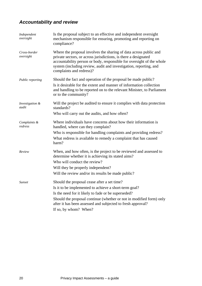# *Accountability and review*

| Independent<br>oversight  | Is the proposal subject to an effective and independent oversight<br>mechanism responsible for ensuring, promoting and reporting on<br>compliance?                                                                                                                                                                         |
|---------------------------|----------------------------------------------------------------------------------------------------------------------------------------------------------------------------------------------------------------------------------------------------------------------------------------------------------------------------|
| Cross-border<br>oversight | Where the proposal involves the sharing of data across public and<br>private sectors, or across jurisdictions, is there a designated<br>accountability person or body, responsible for oversight of the whole<br>system (including review, audit and investigation, reporting, and<br>complaints and redress)?             |
| Public reporting          | Should the fact and operation of the proposal be made public?<br>Is it desirable for the extent and manner of information collection<br>and handling to be reported on to the relevant Minister, to Parliament<br>or to the community?                                                                                     |
| Investigation &<br>audit  | Will the project be audited to ensure it complies with data protection<br>standards?<br>Who will carry out the audits, and how often?                                                                                                                                                                                      |
| Complaints &<br>redress   | Where individuals have concerns about how their information is<br>handled, where can they complain?<br>Who is responsible for handling complaints and providing redress?<br>What redress is available to remedy a complaint that has caused<br>harm?                                                                       |
| Review                    | When, and how often, is the project to be reviewed and assessed to<br>determine whether it is achieving its stated aims?<br>Who will conduct the review?<br>Will they be properly independent?<br>Will the review and/or its results be made public?                                                                       |
| <i>Sunset</i>             | Should the proposal cease after a set time?<br>Is it to be implemented to achieve a short-term goal?<br>Is the need for it likely to fade or be superseded?<br>Should the proposal continue (whether or not in modified form) only<br>after it has been assessed and subjected to fresh approval?<br>If so, by whom? When? |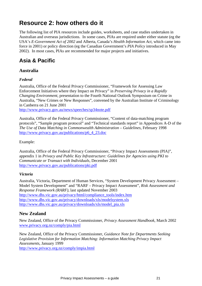# **Resource 2: how others do it**

The following list of PIA resources include guides, worksheets, and case studies undertaken in Australian and overseas jurisdictions. In some cases, PIAs are required under either statute (eg the USA's *E-Government Act of 2002* and Alberta, Canada's *Health Information Act*, which came into force in 2001) or policy direction (eg the Canadian Government's *PIA Policy* introduced in May 2002). In most cases, PIAs are recommended for major projects and initiatives.

# **Asia & Pacific**

# **Australia**

## *Federal*

Australia, Office of the Federal Privacy Commissioner, "Framework for Assessing Law Enforcement Initiatives where they Impact on Privacy" in *Preserving Privacy in a Rapidly Changing Environment*, presentation to the Fourth National Outlook Symposium on Crime in Australia, "New Crimes or New Responses", convened by the Australian Institute of Criminology in Canberra on 21 June 2001

http://www.privacy.gov.au/news/speeches/sp34note.pdf

Australia, Office of the Federal Privacy Commissioner, "Content of data-matching program protocols", "Sample program protocol" and "Technical standards report" in Appendices A-D of the *The Use of Data Matching in Commonwealth Administration – Guidelines,* February 1998 http://www.privacy.gov.au/publications/p6\_4\_23.doc

Example:

Australia, Office of the Federal Privacy Commissioner, "Privacy Impact Assessments (PIA)", appendix 1 in *Privacy and Public Key Infrastructure: Guidelines for Agencies using PKI to Communicate or Transact with Individuals,* December 2001 http://www.privacy.gov.au/publications/pki.pdf

## *Victoria*

Australia, Victoria, Department of Human Services, "System Development Privacy Assessment – Model System Development" and "RARF – Privacy Impact Assessment", *Risk Assessment and Response Framework (RARF)*, last updated November 2003 http://www.dhs.vic.gov.au/privacy/html/compliance\_tools/index.htm http://www.dhs.vic.gov.au/privacy/downloads/xls/modelsystem.xls http://www.dhs.vic.gov.au/privacy/downloads/xls/model\_pia.xls

# **New Zealand**

New Zealand, Office of the Privacy Commissioner, *Privacy Assessment Handbook*, March 2002 www.privacy.org.nz/comply/pia.html

New Zealand, Office of the Privacy Commissioner, *Guidance Note for Departments Seeking Legislative Provision for Information Matching: Information Matching Privacy Impact Assessments*, January 1999

http://www.privacy.org.nz/comply/impia.html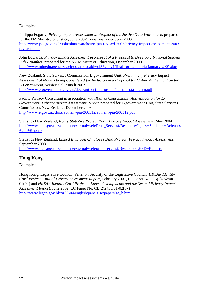Examples:

Philippa Fogarty, *Privacy Impact Assessment in Respect of the Justice Data Warehouse*, prepared for the NZ Ministry of Justice, June 2002, revisions added June 2003 http://www.jsis.govt.nz/Public/data-warehouse/pia-revised-2003/privacy-impact-assessment-2003 revision.htm

John Edwards, *Privacy Impact Assessment in Respect of a Proposal to Develop a National Student Index Number, prepared for the NZ Ministry of Education, December 2000* http://www.minedu.govt.nz/web/downloadable/dl5720\_v1/final-formatted-pia-january-2001.doc

New Zealand, State Services Commission, E-government Unit, *Preliminary Privacy Impact Assessment of Models being Considered for Inclusion in a Proposal for Online Authentication for E-Government*, version 0.9, March 2003 http://www.e-government.govt.nz/docs/authent-pia-prelim/authent-pia-prelim.pdf

Pacific Privacy Consulting in association with Xamax Consultancy, *Authentication for E-Government: Privacy Impact Assessment Report*, prepared for E-government Unit, State Services Commission, New Zealand, December 2003 http://www.e.govt.nz/docs/authent-pia-200312/authent-pia-200312.pdf

Statistics New Zealand, *Injury Statistics Project Pilot: Privacy Impact Assessment*, May 2004 http://www.stats.govt.nz/domino/external/web/Prod\_Serv.nsf/Response/Injury+Statistics+Releases +and+Reports

Statistics New Zealand, *Linked Employer-Employee Data Project: Privacy Impact Assessment*, September 2003 http://www.stats.govt.nz/domino/external/web/prod\_serv.nsf/Response/LEED+Reports

# **Hong Kong**

Examples:

Hong Kong, Legislative Council, Panel on Security of the Legislative Council, *HKSAR Identity Card Project – Initial Privacy Assessment Report*, February 2001, LC Paper No. CB(2)752/00- 01(04) and *HKSAR Identity Card Project – Latest developments and the Second Privacy Impact Assessment Report*, June 2002, LC Paper No. CB(2)2433/01-02(07) http://www.legco.gov.hk/yr03-04/english/panels/se/papers/se\_h.htm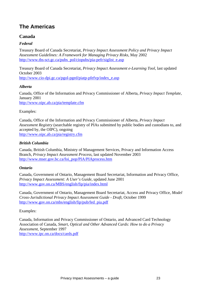# **The Americas**

## **Canada**

## *Federal*

Treasury Board of Canada Secretariat, *Privacy Impact Assessment Policy and Privacy Impact Assessment Guidelines: A Framework for Managing Privacy Risks,* May 2002 http://www.tbs-sct.gc.ca/pubs\_pol/ciopubs/pia-pefr/siglist\_e.asp

Treasury Board of Canada Secretariat, *Privacy Impact Assessment e-Learning Tool*, last updated October 2003

http://www.cio-dpi.gc.ca/pgol-pged/piatp-pfefvp/index\_e.asp

### *Alberta*

Canada, Office of the Information and Privacy Commissioner of Alberta, *Privacy Impact Template,* January 2001 http://www.oipc.ab.ca/pia/template.cfm

## Examples:

Canada, Office of the Information and Privacy Commissioner of Alberta, *Privacy Impact Assessment Registry* (searchable registry of PIAs submitted by public bodies and custodians to, and accepted by, the OIPC), ongoing http://www.oipc.ab.ca/pia/registry.cfm

### *British Columbia*

Canada, British Columbia, Ministry of Management Services, Privacy and Information Access Branch, *Privacy Impact Assessment Process*, last updated November 2003 http://www.mser.gov.bc.ca/foi\_pop/PIA/PIAprocess.htm

## *Ontario*

Canada, Government of Ontario, Management Board Secretariat, Information and Privacy Office, *Privacy Impact Assessment: A User's Guide*, updated June 2001 http://www.gov.on.ca/MBS/english/fip/pia/index.html

Canada, Government of Ontario, Management Board Secretariat, Access and Privacy Office, *Model Cross-Jurisdictional Privacy Impact Assessment Guide - Draft*, October 1999 http://www.gov.on.ca/mbs/english/fip/pub/fed\_pia.pdf

### Examples:

Canada, Information and Privacy Commissioner of Ontario, and Advanced Card Technology Association of Canada, *Smart, Optical and Other Advanced Cards: How to do a Privacy Assessment,* September 1997 http://www.ipc.on.ca/docs/cards.pdf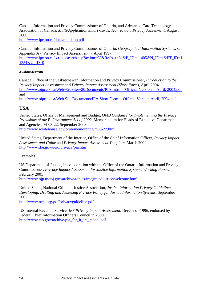Canada, Information and Privacy Commissioner of Ontario, and Advanced Card Technology Association of Canada, *Multi-Application Smart Cards: How to do a Privacy Assessment,* August 2000

http://www.ipc.on.ca/docs/multiapp.pdf

Canada, Information and Privacy Commissioner of Ontario, *Geographical Information Systems,* see Appendix A ("Privacy Impact Assessment"), April 1997 http://www.ipc.on.ca/scripts/search.asp?action=98&RefAct=31&P\_ID=11405&N\_ID=1&PT\_ID=1 1351&U ID=0

### *Saskatchewan*

Canada, Office of the Saskatchewan Information and Privacy Commissioner, *Introduction to the Privacy Impact Assessment* and *Privacy Impact Assessment (Short Form)*, April 2004 http://www.oipc.sk.ca/Web%20Site%20Documents/PIA Intro -- Official Version -- April, 2004.pdf and

http://www.oipc.sk.ca/Web Site Documents/PIA Short Form -- Official Version April, 2004.pdf

## **USA**

United States, Office of Management and Budget, *OMB Guidance for Implementing the Privacy Provisions of the E-Government Act of 2002,* Memorandum for Heads of Executive Departments and Agencies, M-03-22, September 2003 http://www.whitehouse.gov/omb/memoranda/m03-22.html

United States, Department of the Interior, Office of the Chief Information Officer, *Privacy Impact Assessment and Guide* and *Privacy Impact Assessment Template,* March 2004 http://www.doi.gov/ocio/privacy/pia.htm

Examples:

US Department of Justice, in co-operation with the Office of the Ontario Information and Privacy Commissioner, *Privacy Impact Assessment for Justice Information Systems Working Paper*, February 2001 http://www.ojp.usdoj.gov/archive/topics/integratedjustice/welcome.html

United States, National Criminal Justice Association, *Justice Information Privacy Guideline: Developing, Drafting and Assessing Privacy Policy for Justice Information Systems*, September 2002

http://www.ncja.org/pdf/privacyguideline.pdf

US Internal Revenue Service, *IRS Privacy Impact Assessment*, December 1996, endorsed by Federal Chief Information Officers Council in 2000 http://www.cio.gov/archive/pia\_for\_it\_irs\_model.pdf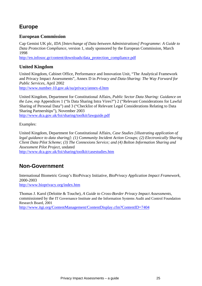# **Europe**

## **European Commission**

Cap Gemini UK plc, *IDA [Interchange of Data between Administrations] Programme: A Guide to Data Protection Compliance*, version 1, study sponsored by the European Commission, March 1998

http://en.infosoc.gr/content/downloads/data\_protection\_compliance.pdf

## **United Kingdom**

United Kingdom, Cabinet Office, Performance and Innovation Unit, "The Analytical Framework and Privacy Impact Assessments", Annex D in *Privacy and Data-Sharing: The Way Forward for Public Services*, April 2002

http://www.number-10.gov.uk/su/privacy/annex-d.htm

United Kingdom, Department for Constitutional Affairs, *Public Sector Data Sharing: Guidance on the Law*, esp Appendices 1 ("Is Data Sharing Intra Vires?") 2 ("Relevant Considerations for Lawful Sharing of Personal Data") and 3 ("Checklist of Relevant Legal Considerations Relating to Data Sharing Partnerships"), November 2003 http://www.dca.gov.uk/foi/sharing/toolkit/lawguide.pdf

Examples:

United Kingdom, Department for Constitutional Affairs, *Case Studies [illustrating application of legal guidance to data sharing]: (1) Community Incident Action Groups; (2) Electronically Sharing Client Data Pilot Scheme; (3) The Connexions Service; and (4) Bolton Information Sharing and Assessment Pilot Project*, undated

http://www.dca.gov.uk/foi/sharing/toolkit/casestudies.htm

# **Non-Government**

International Biometric Group's BioPrivacy Initiative, *BioPrivacy Application Impact Framework*, 2000-2003 http://www.bioprivacy.org/index.htm

Thomas J. Karol (Deloitte & Touche), *A Guide to Cross-Border Privacy Impact Assessments*, commissioned by the IT Governance Institute and the Information Systems Audit and Control Foundation Research Board, 2001

http://www.itgi.org/ContentManagement/ContentDisplay.cfm?ContentID=7404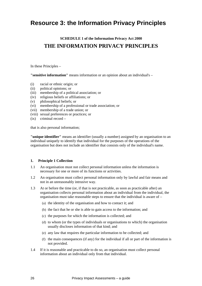# **Resource 3: the Information Privacy Principles**

# **SCHEDULE 1 of the Information Privacy Act 2000 THE INFORMATION PRIVACY PRINCIPLES**

In these Principles –

**"sensitive information"** means information or an opinion about an individual's –

- (i) racial or ethnic origin; or
- (ii) political opinions; or
- (iii) membership of a political association; or
- (iv) religious beliefs or affiliations; or
- (v) philosophical beliefs; or
- (vi) membership of a professional or trade association; or
- (vii) membership of a trade union; or
- (viii) sexual preferences or practices; or
- $(ix)$  criminal record –

that is also personal information;

**"unique identifier"** means an identifier (usually a number) assigned by an organisation to an individual uniquely to identify that individual for the purposes of the operations of the organisation but does not include an identifier that consists only of the individual's name.

#### **1. Principle 1 Collection**

- 1.1 An organisation must not collect personal information unless the information is necessary for one or more of its functions or activities.
- 1.2 An organisation must collect personal information only by lawful and fair means and not in an unreasonably intrusive way.
- 1.3 At or before the time (or, if that is not practicable, as soon as practicable after) an organisation collects personal information about an individual from the individual, the organisation must take reasonable steps to ensure that the individual is aware of –
	- (a) the identity of the organisation and how to contact it; and
	- (b) the fact that he or she is able to gain access to the information; and
	- (c) the purposes for which the information is collected; and
	- (d) to whom (or the types of individuals or organisations to which) the organisation usually discloses information of that kind; and
	- (e) any law that requires the particular information to be collected; and
	- (f) the main consequences (if any) for the individual if all or part of the information is not provided.
- 1.4 If it is reasonable and practicable to do so, an organisation must collect personal information about an individual only from that individual.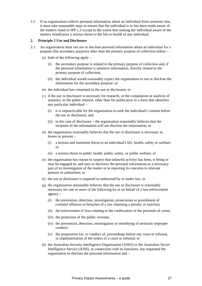1.5 If an organisation collects personal information about an individual from someone else, it must take reasonable steps to ensure that the individual is or has been made aware of the matters listed in IPP 1.3 except to the extent that making the individual aware of the matters would pose a serious threat to the life or health of any individual.

#### **2. Principle 2 Use and Disclosure**

- 2.1 An organisation must not use or disclose personal information about an individual for a purpose (the secondary purpose) other than the primary purpose of collection unless –
	- (a) both of the following apply
		- (i) the secondary purpose is related to the primary purpose of collection and, if the personal information is sensitive information, directly related to the primary purpose of collection;
		- (ii) the individual would reasonably expect the organisation to use or disclose the information for the secondary purpose; or
	- (b) the individual has consented to the use or disclosure; or
	- (c) if the use or disclosure is necessary for research, or the compilation or analysis of statistics, in the public interest, other than for publication in a form that identifies any particular individual –
		- (i) it is impracticable for the organisation to seek the individual's consent before the use or disclosure; and
		- (ii) in the case of disclosure the organisation reasonably believes that the recipient of the information will not disclose the information; or
	- (d) the organisation reasonably believes that the use or disclosure is necessary to lessen or prevent –
		- (i) a serious and imminent threat to an individual's life, health, safety or welfare; or
		- (ii) a serious threat to public health, public safety, or public welfare; or
	- (e) the organisation has reason to suspect that unlawful activity has been, is being or may be engaged in, and uses or discloses the personal information as a necessary part of its investigation of the matter or in reporting its concerns to relevant persons or authorities; or
	- (f) the use or disclosure is required or authorised by or under law; or
	- (g) the organisation reasonably believes that the use or disclosure is reasonably necessary for one or more of the following by or on behalf of a law enforcement agency –
		- (i) the prevention, detection, investigation, prosecution or punishment of criminal offences or breaches of a law imposing a penalty or sanction;
		- (ii) the enforcement of laws relating to the confiscation of the proceeds of crime;
		- (iii) the protection of the public revenue;
		- (iv) the prevention, detection, investigation or remedying of seriously improper conduct;
		- (v) the preparation for, or conduct of, proceedings before any court or tribunal, or implementation of the orders of a court or tribunal; or
	- (h) the Australian Security Intelligence Organization (ASIO) or the Australian Secret Intelligence Service (ASIS), in connection with its functions, has requested the organisation to disclose the personal information and –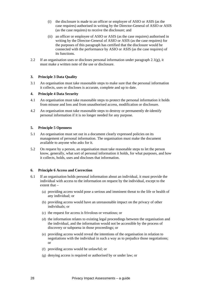- (i) the disclosure is made to an officer or employee of ASIO or ASIS (as the case requires) authorised in writing by the Director-General of ASIO or ASIS (as the case requires) to receive the disclosure; and
- (ii) an officer or employee of ASIO or ASIS (as the case requires) authorised in writing by the Director-General of ASIO or ASIS (as the case requires) for the purposes of this paragraph has certified that the disclosure would be connected with the performance by ASIO or ASIS (as the case requires) of its functions.
- 2.2 If an organisation uses or discloses personal information under paragraph  $2.1(g)$ , it must make a written note of the use or disclosure.

#### **3. Principle 3 Data Quality**

3.1 An organisation must take reasonable steps to make sure that the personal information it collects, uses or discloses is accurate, complete and up to date.

#### **4. Principle 4 Data Security**

- 4.1 An organisation must take reasonable steps to protect the personal information it holds from misuse and loss and from unauthorised access, modification or disclosure.
- 4.2 An organisation must take reasonable steps to destroy or permanently de-identify personal information if it is no longer needed for any purpose.

#### **5. Principle 5 Openness**

- 5.1 An organisation must set out in a document clearly expressed policies on its management of personal information. The organisation must make the document available to anyone who asks for it.
- 5.2 On request by a person, an organisation must take reasonable steps to let the person know, generally, what sort of personal information it holds, for what purposes, and how it collects, holds, uses and discloses that information.

#### **6. Principle 6 Access and Correction**

- 6.1 If an organisation holds personal information about an individual, it must provide the individual with access to the information on request by the individual, except to the extent that –
	- (a) providing access would pose a serious and imminent threat to the life or health of any individual; or
	- (b) providing access would have an unreasonable impact on the privacy of other individuals; or
	- (c) the request for access is frivolous or vexatious; or
	- (d) the information relates to existing legal proceedings between the organisation and the individual, and the information would not be accessible by the process of discovery or subpoena in those proceedings; or
	- (e) providing access would reveal the intentions of the organisation in relation to negotiations with the individual in such a way as to prejudice those negotiations; or
	- (f) providing access would be unlawful; or
	- (g) denying access is required or authorised by or under law; or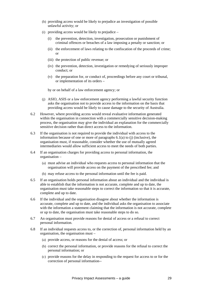- (h) providing access would be likely to prejudice an investigation of possible unlawful activity; or
- (i) providing access would be likely to prejudice
	- (i) the prevention, detection, investigation, prosecution or punishment of criminal offences or breaches of a law imposing a penalty or sanction; or
	- (ii) the enforcement of laws relating to the confiscation of the proceeds of crime; or
	- (iii) the protection of public revenue; or
	- (iv) the prevention, detection, investigation or remedying of seriously improper conduct; or
	- (v) the preparation for, or conduct of, proceedings before any court or tribunal, or implementation of its orders –

by or on behalf of a law enforcement agency; or

- (j) ASIO, ASIS or a law enforcement agency performing a lawful security function asks the organisation not to provide access to the information on the basis that providing access would be likely to cause damage to the security of Australia.
- 6.2 However, where providing access would reveal evaluative information generated within the organisation in connection with a commercially sensitive decision-making process, the organisation may give the individual an explanation for the commercially sensitive decision rather than direct access to the information.
- 6.3 If the organisation is not required to provide the individual with access to the information because of one or more of paragraphs 6.1(a) to (j) (inclusive), the organisation must, if reasonable, consider whether the use of mutually agreed intermediaries would allow sufficient access to meet the needs of both parties.
- 6.4 If an organisation charges for providing access to personal information, the organisation –
	- (a) must advise an individual who requests access to personal information that the organisation will provide access on the payment of the prescribed fee; and
	- (b) may refuse access to the personal information until the fee is paid.
- 6.5 If an organisation holds personal information about an individual and the individual is able to establish that the information is not accurate, complete and up to date, the organisation must take reasonable steps to correct the information so that it is accurate, complete and up to date.
- 6.6 If the individual and the organisation disagree about whether the information is accurate, complete and up to date, and the individual asks the organisation to associate with the information a statement claiming that the information is not accurate, complete or up to date, the organisation must take reasonable steps to do so.
- 6.7 An organisation must provide reasons for denial of access or a refusal to correct personal information.
- 6.8 If an individual requests access to, or the correction of, personal information held by an organisation, the organisation must –
	- (a) provide access, or reasons for the denial of access; or
	- (b) correct the personal information, or provide reasons for the refusal to correct the personal information; or
	- (c) provide reasons for the delay in responding to the request for access to or for the correction of personal information--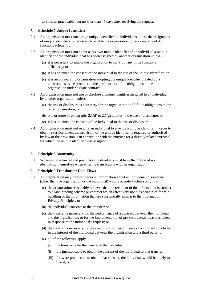as soon as practicable, but no later than 45 days after receiving the request.

#### **7. Principle 7 Unique Identifiers**

- 7.1 An organisation must not assign unique identifiers to individuals unless the assignment of unique identifiers is necessary to enable the organisation to carry out any of its functions efficiently.
- 7.2 An organisation must not adopt as its own unique identifier of an individual a unique identifier of the individual that has been assigned by another organisation unless –
	- (a) it is necessary to enable the organisation to carry out any of its functions efficiently; or
	- (b) it has obtained the consent of the individual to the use of the unique identifier; or
	- (c) it is an outsourcing organisation adopting the unique identifier created by a contracted service provider in the performance of its obligations to the organisation under a State contract.
- 7.3 An organisation must not use or disclose a unique identifier assigned to an individual by another organisation unless –
	- (a) the use or disclosure is necessary for the organisation to fulfil its obligations to the other organisation; or
	- (b) one or more of paragraphs 2.1(d) to 2.1(g) applies to the use or disclosure; or
	- (c) it has obtained the consent of the individual to the use or disclosure.
- 7.4 An organisation must not require an individual to provide a unique identifier in order to obtain a service unless the provision of the unique identifier is required or authorised by law or the provision is in connection with the purpose (or a directly related purpose) for which the unique identifier was assigned.

#### **8. Principle 8 Anonymity**

8.1 Wherever it is lawful and practicable, individuals must have the option of not identifying themselves when entering transactions with an organisation.

#### **9. Principle 9 Transborder Data Flows**

- 9.1 An organisation may transfer personal information about an individual to someone (other than the organisation or the individual) who is outside Victoria only if –
	- (a) the organisation reasonably believes that the recipient of the information is subject to a law, binding scheme or contract which effectively upholds principles for fair handling of the information that are substantially similar to the Information Privacy Principles; or
	- (b) the individual consents to the transfer; or
	- (c) the transfer is necessary for the performance of a contract between the individual and the organisation, or for the implementation of pre-contractual measures taken in response to the individual's request; or
	- (d) the transfer is necessary for the conclusion or performance of a contract concluded in the interest of the individual between the organisation and a third party; or
	- (e) all of the following apply
		- (i) the transfer is for the benefit of the individual;
		- (ii) it is impracticable to obtain the consent of the individual to that transfer;
		- (iii) if it were practicable to obtain that consent, the individual would be likely to give it; or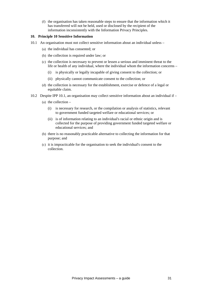(f) the organisation has taken reasonable steps to ensure that the information which it has transferred will not be held, used or disclosed by the recipient of the information inconsistently with the Information Privacy Principles.

#### **10. Principle 10 Sensitive Information**

- 10.1 An organisation must not collect sensitive information about an individual unless
	- (a) the individual has consented; or
	- (b) the collection is required under law; or
	- (c) the collection is necessary to prevent or lessen a serious and imminent threat to the life or health of any individual, where the individual whom the information concerns –
		- (i) is physically or legally incapable of giving consent to the collection; or
		- (ii) physically cannot communicate consent to the collection; or
	- (d) the collection is necessary for the establishment, exercise or defence of a legal or equitable claim.
- 10.2 Despite IPP 10.1, an organisation may collect sensitive information about an individual if
	- (a) the collection  $-$ 
		- (i) is necessary for research, or the compilation or analysis of statistics, relevant to government funded targeted welfare or educational services; or
		- (ii) is of information relating to an individual's racial or ethnic origin and is collected for the purpose of providing government funded targeted welfare or educational services; and
	- (b) there is no reasonably practicable alternative to collecting the information for that purpose; and
	- (c) it is impracticable for the organisation to seek the individual's consent to the collection.